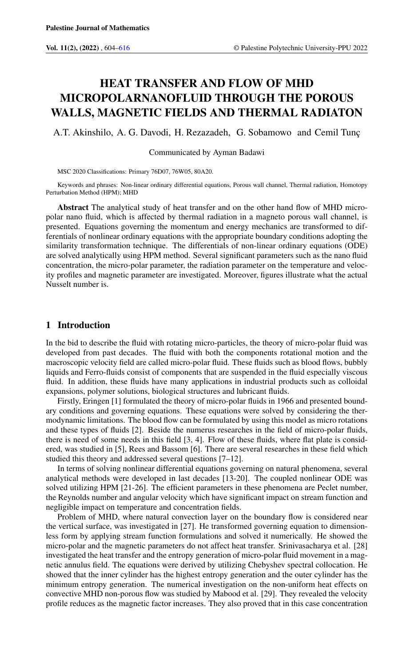# HEAT TRANSFER AND FLOW OF MHD MICROPOLARNANOFLUID THROUGH THE POROUS WALLS, MAGNETIC FIELDS AND THERMAL RADIATON

A.T. Akinshilo, A. G. Davodi, H. Rezazadeh, G. Sobamowo and Cemil Tunç

### Communicated by Ayman Badawi

MSC 2020 Classifications: Primary 76D07, 76W05, 80A20.

Keywords and phrases: Non-linear ordinary differential equations, Porous wall channel, Thermal radiation, Homotopy Perturbation Method (HPM); MHD

Abstract The analytical study of heat transfer and on the other hand flow of MHD micropolar nano fluid, which is affected by thermal radiation in a magneto porous wall channel, is presented. Equations governing the momentum and energy mechanics are transformed to differentials of nonlinear ordinary equations with the appropriate boundary conditions adopting the similarity transformation technique. The differentials of non-linear ordinary equations (ODE) are solved analytically using HPM method. Several significant parameters such as the nano fluid concentration, the micro-polar parameter, the radiation parameter on the temperature and velocity profiles and magnetic parameter are investigated. Moreover, figures illustrate what the actual Nusselt number is.

# 1 Introduction

In the bid to describe the fluid with rotating micro-particles, the theory of micro-polar fluid was developed from past decades. The fluid with both the components rotational motion and the macroscopic velocity field are called micro-polar fluid. These fluids such as blood flows, bubbly liquids and Ferro-fluids consist of components that are suspended in the fluid especially viscous fluid. In addition, these fluids have many applications in industrial products such as colloidal expansions, polymer solutions, biological structures and lubricant fluids.

Firstly, Eringen [1] formulated the theory of micro-polar fluids in 1966 and presented boundary conditions and governing equations. These equations were solved by considering the thermodynamic limitations. The blood flow can be formulated by using this model as micro rotations and these types of fluids [2]. Beside the numerus researches in the field of micro-polar fluids, there is need of some needs in this field [3, 4]. Flow of these fluids, where flat plate is considered, was studied in [5], Rees and Bassom [6]. There are several researches in these field which studied this theory and addressed several questions [7–12].

In terms of solving nonlinear differential equations governing on natural phenomena, several analytical methods were developed in last decades [13-20]. The coupled nonlinear ODE was solved utilizing HPM [21-26]. The efficient parameters in these phenomena are Peclet number, the Reynolds number and angular velocity which have significant impact on stream function and negligible impact on temperature and concentration fields.

Problem of MHD, where natural convection layer on the boundary flow is considered near the vertical surface, was investigated in [27]. He transformed governing equation to dimensionless form by applying stream function formulations and solved it numerically. He showed the micro-polar and the magnetic parameters do not affect heat transfer. Srinivasacharya et al. [28] investigated the heat transfer and the entropy generation of micro-polar fluid movement in a magnetic annulus field. The equations were derived by utilizing Chebyshev spectral collocation. He showed that the inner cylinder has the highest entropy generation and the outer cylinder has the minimum entropy generation. The numerical investigation on the non-uniform heat effects on convective MHD non-porous flow was studied by Mabood et al. [29]. They revealed the velocity profile reduces as the magnetic factor increases. They also proved that in this case concentration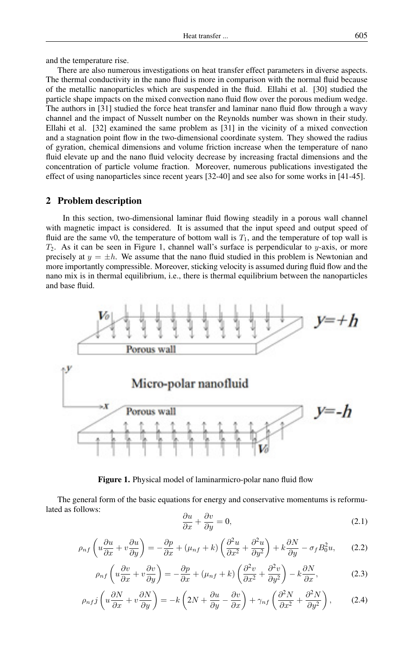and the temperature rise.

There are also numerous investigations on heat transfer effect parameters in diverse aspects. The thermal conductivity in the nano fluid is more in comparison with the normal fluid because of the metallic nanoparticles which are suspended in the fluid. Ellahi et al. [30] studied the particle shape impacts on the mixed convection nano fluid flow over the porous medium wedge. The authors in [31] studied the force heat transfer and laminar nano fluid flow through a wavy channel and the impact of Nusselt number on the Reynolds number was shown in their study. Ellahi et al. [32] examined the same problem as [31] in the vicinity of a mixed convection and a stagnation point flow in the two-dimensional coordinate system. They showed the radius of gyration, chemical dimensions and volume friction increase when the temperature of nano fluid elevate up and the nano fluid velocity decrease by increasing fractal dimensions and the concentration of particle volume fraction. Moreover, numerous publications investigated the effect of using nanoparticles since recent years [32-40] and see also for some works in [41-45].

## 2 Problem description

In this section, two-dimensional laminar fluid flowing steadily in a porous wall channel with magnetic impact is considered. It is assumed that the input speed and output speed of fluid are the same v0, the temperature of bottom wall is  $T_1$ , and the temperature of top wall is  $T_2$ . As it can be seen in Figure 1, channel wall's surface is perpendicular to y-axis, or more precisely at  $y = \pm h$ . We assume that the nano fluid studied in this problem is Newtonian and more importantly compressible. Moreover, sticking velocity is assumed during fluid flow and the nano mix is in thermal equilibrium, i.e., there is thermal equilibrium between the nanoparticles and base fluid.



Figure 1. Physical model of laminarmicro-polar nano fluid flow

The general form of the basic equations for energy and conservative momentums is reformulated as follows:

$$
\frac{\partial u}{\partial x} + \frac{\partial v}{\partial y} = 0,\tag{2.1}
$$

$$
\rho_{nf}\left(u\frac{\partial u}{\partial x} + v\frac{\partial u}{\partial y}\right) = -\frac{\partial p}{\partial x} + (\mu_{nf} + k)\left(\frac{\partial^2 u}{\partial x^2} + \frac{\partial^2 u}{\partial y^2}\right) + k\frac{\partial N}{\partial y} - \sigma_f B_0^2 u,\tag{2.2}
$$

$$
\rho_{nf}\left(u\frac{\partial v}{\partial x} + v\frac{\partial v}{\partial y}\right) = -\frac{\partial p}{\partial x} + (\mu_{nf} + k)\left(\frac{\partial^2 v}{\partial x^2} + \frac{\partial^2 v}{\partial y^2}\right) - k\frac{\partial N}{\partial x},\tag{2.3}
$$

$$
\rho_{nf}j\left(u\frac{\partial N}{\partial x} + v\frac{\partial N}{\partial y}\right) = -k\left(2N + \frac{\partial u}{\partial y} - \frac{\partial v}{\partial x}\right) + \gamma_{nf}\left(\frac{\partial^2 N}{\partial x^2} + \frac{\partial^2 N}{\partial y^2}\right),\tag{2.4}
$$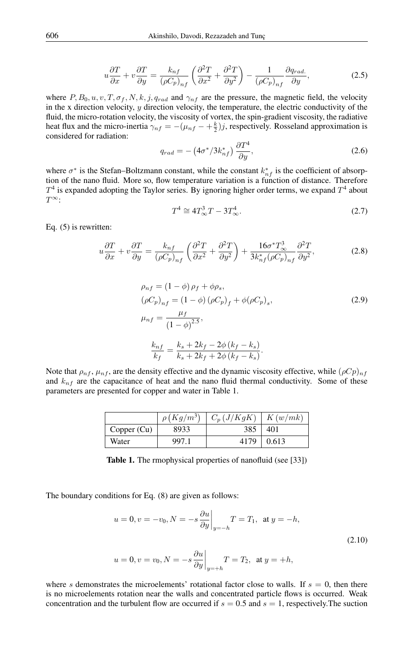$$
u\frac{\partial T}{\partial x} + v\frac{\partial T}{\partial y} = \frac{k_{nf}}{(\rho C_p)_{nf}} \left(\frac{\partial^2 T}{\partial x^2} + \frac{\partial^2 T}{\partial y^2}\right) - \frac{1}{(\rho C_p)_{nf}} \frac{\partial q_{rad}}{\partial y},\tag{2.5}
$$

where  $P, B_0, u, v, T, \sigma_f, N, k, j, q_{rad}$  and  $\gamma_{nf}$  are the pressure, the magnetic field, the velocity in the x direction velocity,  $y$  direction velocity, the temperature, the electric conductivity of the fluid, the micro-rotation velocity, the viscosity of vortex, the spin-gradient viscosity, the radiative heat flux and the micro-inertia  $\gamma_{nf} = -(\mu_{nf} - \frac{k}{2})j$ , respectively. Rosseland approximation is considered for radiation:

$$
q_{rad} = -\left(4\sigma^*/3k_{nf}^*\right) \frac{\partial T^4}{\partial y},\tag{2.6}
$$

where  $\sigma^*$  is the Stefan–Boltzmann constant, while the constant  $k_{nf}^*$  is the coefficient of absorption of the nano fluid. More so, flow temperature variation is a function of distance. Therefore  $T<sup>4</sup>$  is expanded adopting the Taylor series. By ignoring higher order terms, we expand  $T<sup>4</sup>$  about  $T^{\infty}$ :

$$
T^4 \cong 4T_{\infty}^3 T - 3T_{\infty}^4. \tag{2.7}
$$

Eq. (5) is rewritten:

$$
u\frac{\partial T}{\partial x} + v\frac{\partial T}{\partial y} = \frac{k_{nf}}{(\rho C_p)_{nf}} \left(\frac{\partial^2 T}{\partial x^2} + \frac{\partial^2 T}{\partial y^2}\right) + \frac{16\sigma^* T_{\infty}^3}{3k_{nf}^*(\rho C_p)_{nf}} \frac{\partial^2 T}{\partial y^2},\tag{2.8}
$$

$$
\rho_{nf} = (1 - \phi) \rho_f + \phi \rho_s, \n(\rho C_p)_{nf} = (1 - \phi) (\rho C_p)_f + \phi (\rho C_p)_s, \n\mu_{nf} = \frac{\mu_f}{(1 - \phi)^{2.5}}, \n\frac{k_{nf}}{k_f} = \frac{k_s + 2k_f - 2\phi (k_f - k_s)}{k_s + 2k_f + 2\phi (k_f - k_s)}.
$$
\n(2.9)

Note that  $\rho_{n}$ ,  $\mu_{n}$ , are the density effective and the dynamic viscosity effective, while  $(\rho Cp)_{n}$ and  $k_{n}$  are the capacitance of heat and the nano fluid thermal conductivity. Some of these parameters are presented for copper and water in Table 1.

|               | $\rho(Kg/m^3)$ | $C_p(J/KgK)$   $K(w/mk)$ |       |
|---------------|----------------|--------------------------|-------|
| Copper $(Cu)$ | 8933           | 385                      | 401   |
| Water         | 997.1          | 4179                     | 0.613 |

Table 1. The rmophysical properties of nanofluid (see [33])

The boundary conditions for Eq. (8) are given as follows:

$$
u = 0, v = -v_0, N = -s \frac{\partial u}{\partial y}\Big|_{y=-h} T = T_1, \text{ at } y = -h,
$$
  

$$
u = 0, v = v_0, N = -s \frac{\partial u}{\partial y}\Big|_{y=-h} T = T_2, \text{ at } y = +h,
$$
 (2.10)

where s demonstrates the microelements' rotational factor close to walls. If  $s = 0$ , then there is no microelements rotation near the walls and concentrated particle flows is occurred. Weak concentration and the turbulent flow are occurred if  $s = 0.5$  and  $s = 1$ , respectively. The suction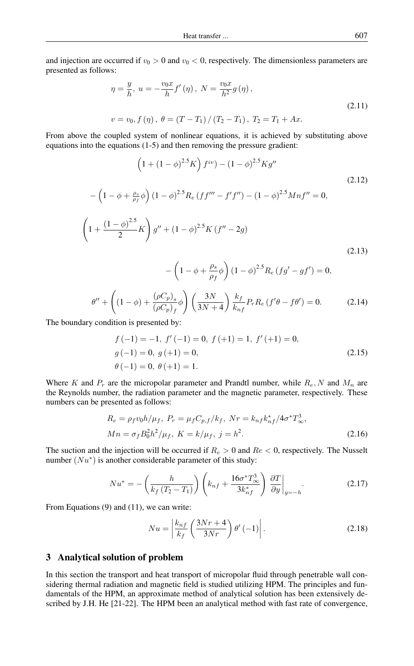and injection are occurred if  $v_0 > 0$  and  $v_0 < 0$ , respectively. The dimensionless parameters are presented as follows:

$$
\eta = \frac{y}{h}, \ u = -\frac{v_0 x}{h} f'(\eta), \ N = \frac{v_0 x}{h^2} g(\eta),
$$
  

$$
v = v_0, f(\eta), \ \theta = (T - T_1) / (T_2 - T_1), \ T_2 = T_1 + Ax.
$$
 (2.11)

From above the coupled system of nonlinear equations, it is achieved by substituting above equations into the equations (1-5) and then removing the pressure gradient:

$$
\left(1 + (1 - \phi)^{2.5} K\right) f^{iv} - (1 - \phi)^{2.5} K g''
$$
\n
$$
- \left(1 - \phi + \frac{\rho_s}{\rho_f} \phi\right) (1 - \phi)^{2.5} R_e \left(f f''' - f' f''\right) - (1 - \phi)^{2.5} M n f'' = 0,
$$
\n
$$
\left(1 + \frac{(1 - \phi)^{2.5}}{2} K\right) g'' + (1 - \phi)^{2.5} K \left(f'' - 2g\right)
$$
\n
$$
(2.13)
$$

 $-\left(1-\phi+\frac{\rho_s}{\rho}\right)$  $\frac{\rho_s}{\rho_f} \phi$   $(1 - \phi)^{2.5} R_e (f g' - g f') = 0,$ 

$$
\theta'' + \left( (1 - \phi) + \frac{(\rho C_p)_s}{(\rho C_p)_f} \phi \right) \left( \frac{3N}{3N + 4} \right) \frac{k_f}{k_{nf}} P_r R_e \left( f' \theta - f \theta' \right) = 0. \tag{2.14}
$$

The boundary condition is presented by:

$$
f(-1) = -1, f'(-1) = 0, f(+1) = 1, f'(+1) = 0,
$$
  
\n
$$
g(-1) = 0, g(+1) = 0,
$$
  
\n
$$
\theta(-1) = 0, \theta(+1) = 1.
$$
\n(2.15)

Where K and  $P_r$  are the micropolar parameter and Prandtl number, while  $R_e, N$  and  $M_n$  are the Reynolds number, the radiation parameter and the magnetic parameter, respectively. These numbers can be presented as follows:

$$
R_e = \rho_f v_0 h / \mu_f, \ P_r = \mu_f C_{p,f} / k_f, \ Nr = k_{nf} k_{nf}^* / 4\sigma^* T_{\infty}^3,
$$
  

$$
Mn = \sigma_f B_0^2 h^2 / \mu_f, \ K = k / \mu_f, \ j = h^2.
$$
 (2.16)

The suction and the injection will be occurred if  $R_e > 0$  and  $Re < 0$ , respectively. The Nusselt number  $(Nu^*)$  is another considerable parameter of this study:

$$
Nu^* = -\left(\frac{h}{k_f\left(T_2 - T_1\right)}\right)\left(k_{nf} + \frac{16\sigma^*T_\infty^3}{3k_{nf}^*}\right)\left.\frac{\partial T}{\partial y}\right|_{y=-h}.\tag{2.17}
$$

From Equations (9) and (11), we can write:

$$
Nu = \left| \frac{k_{nf}}{k_f} \left( \frac{3Nr + 4}{3Nr} \right) \theta' (-1) \right|.
$$
 (2.18)

## 3 Analytical solution of problem

In this section the transport and heat transport of micropolar fluid through penetrable wall considering thermal radiation and magnetic field is studied utilizing HPM. The principles and fundamentals of the HPM, an approximate method of analytical solution has been extensively described by J.H. He [21-22]. The HPM been an analytical method with fast rate of convergence,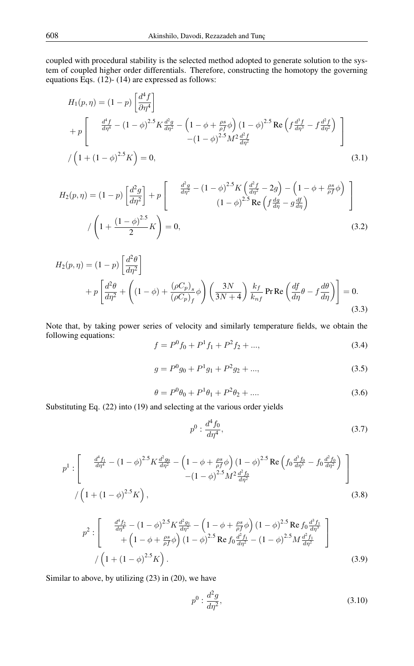coupled with procedural stability is the selected method adopted to generate solution to the system of coupled higher order differentials. Therefore, constructing the homotopy the governing equations Eqs. (12)- (14) are expressed as follows:

$$
H_1(p,\eta) = (1-p) \left[ \frac{d^4 f}{\partial \eta^4} \right]
$$
  
+  $p \left[ \frac{\frac{d^4 f}{d \eta^4} - (1-\phi)^{2.5} K \frac{d^2 g}{d \eta^2} - \left(1 - \phi + \frac{\rho s}{\rho f} \phi \right) (1-\phi)^{2.5} \text{Re} \left( f \frac{d^3 f}{d \eta^3} - f \frac{d^2 f}{d \eta^2} \right) - (1-\phi)^{2.5} M^2 \frac{d^2 f}{d \eta^2}$   
/  $\left(1 + (1-\phi)^{2.5} K\right) = 0,$  (3.1)

$$
H_2(p,\eta) = (1-p)\left[\frac{d^2g}{d\eta^2}\right] + p\left[\begin{array}{c} \frac{d^2g}{d\eta^2} - (1-\phi)^{2.5}K\left(\frac{d^2f}{d\eta^2} - 2g\right) - \left(1-\phi + \frac{\rho s}{\rho f}\phi\right) \\ (1-\phi)^{2.5}\operatorname{Re}\left(f\frac{dg}{d\eta} - g\frac{df}{d\eta}\right) \end{array}\right]
$$

$$
/\left(1 + \frac{(1-\phi)^{2.5}}{2}K\right) = 0,
$$
(3.2)

$$
H_2(p,\eta) = (1-p) \left[ \frac{d^2\theta}{d\eta^2} \right]
$$
  
+  $p \left[ \frac{d^2\theta}{d\eta^2} + \left( (1-\phi) + \frac{(\rho C_p)_s}{(\rho C_p)_f} \phi \right) \left( \frac{3N}{3N+4} \right) \frac{k_f}{k_{nf}} \operatorname{Pr} \operatorname{Re} \left( \frac{df}{d\eta} \theta - f \frac{d\theta}{d\eta} \right) \right] = 0.$  (3.3)

Note that, by taking power series of velocity and similarly temperature fields, we obtain the following equations:  $\overline{a}$ 1  $\overline{a}$ 

$$
f = P^0 f_0 + P^1 f_1 + P^2 f_2 + \dots,
$$
\n(3.4)

$$
g = P^0 g_0 + P^1 g_1 + P^2 g_2 + ..., \qquad (3.5)
$$

$$
\theta = P^0 \theta_0 + P^1 \theta_1 + P^2 \theta_2 + \dots
$$
\n(3.6)

Substituting Eq. (22) into (19) and selecting at the various order yields

$$
p^0: \frac{d^4 f_0}{d\eta^4},\tag{3.7}
$$

$$
p^{1} : \begin{bmatrix} \frac{d^{4}f_{1}}{d\eta^{4}} - (1-\phi)^{2.5} K \frac{d^{2}g_{0}}{d\eta^{2}} - \left(1-\phi + \frac{\rho s}{\rho f} \phi\right) (1-\phi)^{2.5} \operatorname{Re}\left(f_{0} \frac{d^{3}f_{0}}{d\eta^{3}} - f_{0} \frac{d^{2}f_{0}}{d\eta^{2}}\right) \\ - (1-\phi)^{2.5} M^{2} \frac{d^{2}f_{0}}{d\eta^{2}} \end{bmatrix}
$$

$$
/ \left(1 + (1-\phi)^{2.5} K\right), \qquad (3.8)
$$

$$
p^{2}: \begin{bmatrix} \frac{d^{4}f_{2}}{d\eta^{4}} - (1-\phi)^{2.5} K \frac{d^{2}g_{1}}{d\eta^{2}} - \left(1-\phi + \frac{\rho s}{\rho f}\phi\right) (1-\phi)^{2.5} \text{ Re } f_{0} \frac{d^{3}f_{1}}{d\eta^{3}} \\ + \left(1-\phi + \frac{\rho s}{\rho f}\phi\right) (1-\phi)^{2.5} \text{ Re } f_{0} \frac{d^{2}f_{1}}{d\eta^{2}} - (1-\phi)^{2.5} M \frac{d^{2}f_{1}}{d\eta^{2}} \end{bmatrix}
$$
  
\n
$$
/ \left(1 + (1-\phi)^{2.5} K\right).
$$
 (3.9)

Similar to above, by utilizing (23) in (20), we have

$$
p^0: \frac{d^2g}{d\eta^2},\tag{3.10}
$$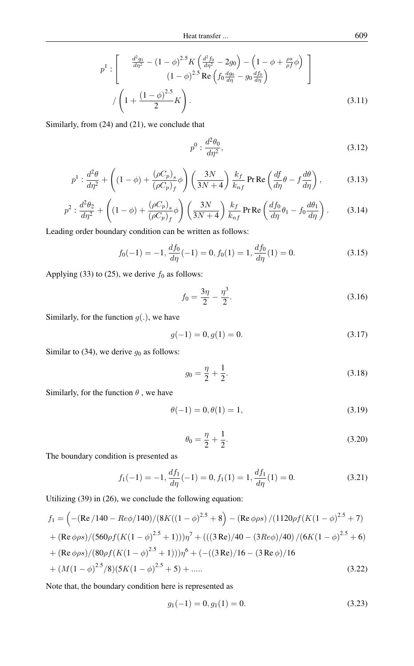$$
p^{1} : \begin{bmatrix} \frac{d^{2}g_{1}}{d\eta^{2}} - (1-\phi)^{2.5} K \left( \frac{d^{2}f_{0}}{d\eta^{2}} - 2g_{0} \right) - \left( 1 - \phi + \frac{\rho s}{\rho f} \phi \right) \\ (1-\phi)^{2.5} \operatorname{Re} \left( f_{0} \frac{dg_{0}}{d\eta} - g_{0} \frac{df_{0}}{d\eta} \right) \end{bmatrix}
$$

$$
/ \left( 1 + \frac{(1-\phi)^{2.5}}{2} K \right).
$$
(3.11)

Similarly, from (24) and (21), we conclude that

$$
p^0: \frac{d^2\theta_0}{d\eta^2},\tag{3.12}
$$

$$
p^{1}: \frac{d^{2}\theta}{d\eta^{2}} + \left( (1 - \phi) + \frac{(\rho C_{p})_{s}}{(\rho C_{p})_{f}} \phi \right) \left( \frac{3N}{3N + 4} \right) \frac{k_{f}}{k_{nf}} \operatorname{Pr} \operatorname{Re} \left( \frac{df}{d\eta} \theta - f \frac{d\theta}{d\eta} \right), \tag{3.13}
$$

$$
p^2: \frac{d^2\theta_2}{d\eta^2} + \left( (1-\phi) + \frac{(\rho C_p)_s}{(\rho C_p)_f} \phi \right) \left( \frac{3N}{3N+4} \right) \frac{k_f}{k_{nf}} \Pr \text{Re} \left( \frac{df_0}{d\eta} \theta_1 - f_0 \frac{d\theta_1}{d\eta} \right). \tag{3.14}
$$

Leading order boundary condition can be written as follows:

$$
f_0(-1) = -1, \frac{df_0}{d\eta}(-1) = 0, f_0(1) = 1, \frac{df_0}{d\eta}(1) = 0.
$$
 (3.15)

Applying (33) to (25), we derive  $f_0$  as follows:

$$
f_0 = \frac{3\eta}{2} - \frac{\eta^3}{2}.
$$
 (3.16)

Similarly, for the function  $g(.)$ , we have

$$
g(-1) = 0, g(1) = 0.
$$
\n(3.17)

Similar to (34), we derive  $g_0$  as follows:

$$
g_0 = \frac{\eta}{2} + \frac{1}{2}.\tag{3.18}
$$

Similarly, for the function  $\theta$ , we have

$$
\theta(-1) = 0, \theta(1) = 1,\tag{3.19}
$$

$$
\theta_0 = \frac{\eta}{2} + \frac{1}{2}.\tag{3.20}
$$

The boundary condition is presented as

$$
f_1(-1) = -1, \frac{df_1}{d\eta}(-1) = 0, f_1(1) = 1, \frac{df_1}{d\eta}(1) = 0.
$$
 (3.21)

Utilizing (39) in (26), we conclude the following equation:

$$
f_1 = \left( -\left( \text{Re} / 140 - \text{Re} \phi / 140 \right) / \left( 8K \left( \left( 1 - \phi \right)^{2.5} + 8 \right) - \left( \text{Re} \phi \rho s \right) / \left( 1120 \rho f (K \left( 1 - \phi \right)^{2.5} + 7 \right) \right) \right)
$$
  
+ 
$$
\left( \text{Re} \phi \rho s \right) / \left( 560 \rho f (K \left( 1 - \phi \right)^{2.5} + 1) \right) \eta^7 + \left( \left( \left( 3 \text{ Re} \right) / 40 - \left( 3 \text{ Re} \phi \right) / 40 \right) / \left( 6K \left( 1 - \phi \right)^{2.5} + 6 \right) \right)
$$
  
+ 
$$
\left( \text{Re} \phi \rho s \right) / \left( 80 \rho f (K \left( 1 - \phi \right)^{2.5} + 1) \right) \eta^6 + \left( - \left( \left( 3 \text{ Re} \right) / 16 - \left( 3 \text{ Re} \phi \right) / 16 \right) \right)
$$
  
+ 
$$
\left( M \left( 1 - \phi \right)^{2.5} / 8 \right) \left( 5K \left( 1 - \phi \right)^{2.5} + 5 \right) + \dots
$$
 (3.22)

Note that, the boundary condition here is represented as

$$
g_1(-1) = 0, g_1(1) = 0.
$$
\n(3.23)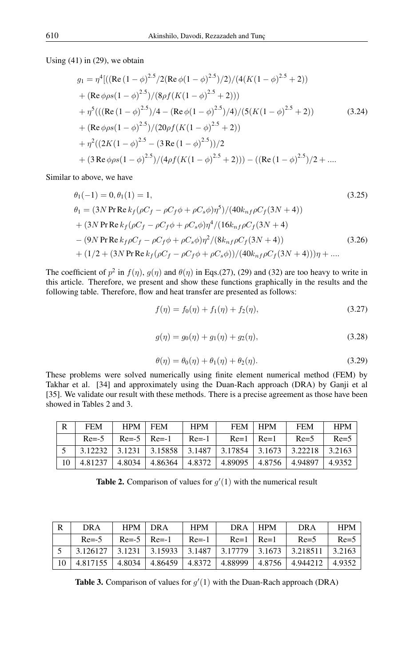Using  $(41)$  in  $(29)$ , we obtain

$$
g_1 = \eta^4 [((\text{Re}(1-\phi)^{2.5}/2(\text{Re}\,\phi(1-\phi)^{2.5})/2)/(4(K(1-\phi)^{2.5}+2))+ (\text{Re}\,\phi \rho s (1-\phi)^{2.5})/(8\rho f(K(1-\phi)^{2.5}+2)))+ \eta^5 (((\text{Re}\,(1-\phi)^{2.5})/4 - (\text{Re}\,\phi(1-\phi)^{2.5})/4)/(5(K(1-\phi)^{2.5}+2))+ (\text{Re}\,\phi \rho s (1-\phi)^{2.5})/(20\rho f(K(1-\phi)^{2.5}+2))+ \eta^2 ((2K(1-\phi)^{2.5} - (3 \text{Re}\,(1-\phi)^{2.5}))/2+ (3 \text{Re}\,\phi \rho s (1-\phi)^{2.5})/(4\rho f(K(1-\phi)^{2.5}+2))) - ((\text{Re}\,(1-\phi)^{2.5})/2 + ....
$$

Similar to above, we have

$$
\theta_1(-1) = 0, \theta_1(1) = 1,
$$
\n(3.25)  
\n
$$
\theta_1 = (3N \Pr \Re k_f (\rho C_f - \rho C_f \phi + \rho C_s \phi) \eta^5) / (40k_{nf} \rho C_f (3N + 4))
$$
\n+ (3N \Pr \Re k\_f (\rho C\_f - \rho C\_f \phi + \rho C\_s \phi) \eta^4 / (16k\_{nf} \rho C\_f (3N + 4))  
\n- (9N \Pr \Re k\_f \rho C\_f - \rho C\_f \phi + \rho C\_s \phi) \eta^2 / (8k\_{nf} \rho C\_f (3N + 4))  
\n+ (1/2 + (3N \Pr \Re k\_f (\rho C\_f - \rho C\_f \phi + \rho C\_s \phi)) / (40k\_{nf} \rho C\_f (3N + 4))) \eta + ....\n(3.26)

The coefficient of  $p^2$  in  $f(\eta)$ ,  $g(\eta)$  and  $\theta(\eta)$  in Eqs.(27), (29) and (32) are too heavy to write in this article. Therefore, we present and show these functions graphically in the results and the following table. Therefore, flow and heat transfer are presented as follows:

$$
f(\eta) = f_0(\eta) + f_1(\eta) + f_2(\eta), \tag{3.27}
$$

$$
g(\eta) = g_0(\eta) + g_1(\eta) + g_2(\eta), \qquad (3.28)
$$

$$
\theta(\eta) = \theta_0(\eta) + \theta_1(\eta) + \theta_2(\eta). \tag{3.29}
$$

These problems were solved numerically using finite element numerical method (FEM) by Takhar et al. [34] and approximately using the Duan-Rach approach (DRA) by Ganji et al [35]. We validate our result with these methods. There is a precise agreement as those have been showed in Tables 2 and 3.

| l R | <b>FEM</b>                                                                       | $\parallel$ HPM $\parallel$ FEM | $HPM$ | FEM   HPM                               | <b>FEM</b> | HPM    |
|-----|----------------------------------------------------------------------------------|---------------------------------|-------|-----------------------------------------|------------|--------|
|     |                                                                                  | $Re=-5$   $Re=-5$   $Re=-1$     |       | $\vert$ Re=-1 $\vert$ Re=1 $\vert$ Re=1 | $Re=5$     | $Re=5$ |
|     | 3.12232   3.1231   3.15858   3.1487   3.17854   3.1673   3.22218   3.2163        |                                 |       |                                         |            |        |
|     | $10$   4.81237   4.8034   4.86364   4.8372   4.89095   4.8756   4.94897   4.9352 |                                 |       |                                         |            |        |

**Table 2.** Comparison of values for  $g'(1)$  with the numerical result

| R | DR A    | $HPM$   DRA |                             | <b>HPM</b> | $DRA$ $HPM$     | DRA                                                                               | <b>HPM</b> |
|---|---------|-------------|-----------------------------|------------|-----------------|-----------------------------------------------------------------------------------|------------|
|   | $Re=-5$ |             | $Re=-5$   $Re=-1$   $Re=-1$ |            | $Re=1$   $Re=1$ | $Re=5$                                                                            | $Re=5$     |
|   |         |             |                             |            |                 | 3.126127   3.1231   3.15933   3.1487   3.17779   3.1673   3.218511   3.2163       |            |
|   |         |             |                             |            |                 | $10 $ 4.817155   4.8034   4.86459   4.8372   4.88999   4.8756   4.944212   4.9352 |            |

Table 3. Comparison of values for  $g'(1)$  with the Duan-Rach approach (DRA)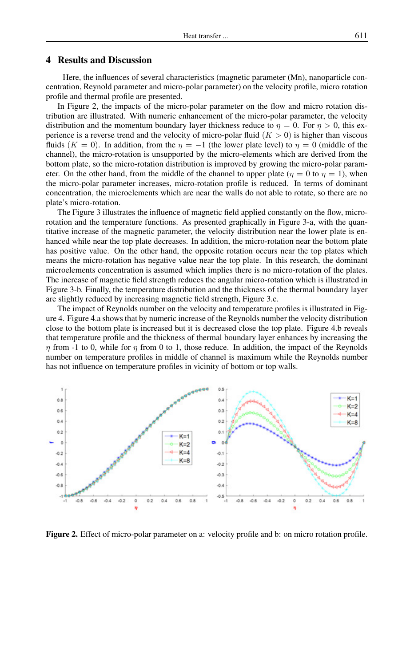#### 4 Results and Discussion

Here, the influences of several characteristics (magnetic parameter (Mn), nanoparticle concentration, Reynold parameter and micro-polar parameter) on the velocity profile, micro rotation profile and thermal profile are presented.

In Figure 2, the impacts of the micro-polar parameter on the flow and micro rotation distribution are illustrated. With numeric enhancement of the micro-polar parameter, the velocity distribution and the momentum boundary layer thickness reduce to  $\eta = 0$ . For  $\eta > 0$ , this experience is a reverse trend and the velocity of micro-polar fluid  $(K > 0)$  is higher than viscous fluids  $(K = 0)$ . In addition, from the  $\eta = -1$  (the lower plate level) to  $\eta = 0$  (middle of the channel), the micro-rotation is unsupported by the micro-elements which are derived from the bottom plate, so the micro-rotation distribution is improved by growing the micro-polar parameter. On the other hand, from the middle of the channel to upper plate ( $\eta = 0$  to  $\eta = 1$ ), when the micro-polar parameter increases, micro-rotation profile is reduced. In terms of dominant concentration, the microelements which are near the walls do not able to rotate, so there are no plate's micro-rotation.

The Figure 3 illustrates the influence of magnetic field applied constantly on the flow, microrotation and the temperature functions. As presented graphically in Figure 3-a, with the quantitative increase of the magnetic parameter, the velocity distribution near the lower plate is enhanced while near the top plate decreases. In addition, the micro-rotation near the bottom plate has positive value. On the other hand, the opposite rotation occurs near the top plates which means the micro-rotation has negative value near the top plate. In this research, the dominant microelements concentration is assumed which implies there is no micro-rotation of the plates. The increase of magnetic field strength reduces the angular micro-rotation which is illustrated in Figure 3-b. Finally, the temperature distribution and the thickness of the thermal boundary layer are slightly reduced by increasing magnetic field strength, Figure 3.c.

The impact of Reynolds number on the velocity and temperature profiles is illustrated in Figure 4. Figure 4.a shows that by numeric increase of the Reynolds number the velocity distribution close to the bottom plate is increased but it is decreased close the top plate. Figure 4.b reveals that temperature profile and the thickness of thermal boundary layer enhances by increasing the  $\eta$  from -1 to 0, while for  $\eta$  from 0 to 1, those reduce. In addition, the impact of the Reynolds number on temperature profiles in middle of channel is maximum while the Reynolds number has not influence on temperature profiles in vicinity of bottom or top walls.



Figure 2. Effect of micro-polar parameter on a: velocity profile and b: on micro rotation profile.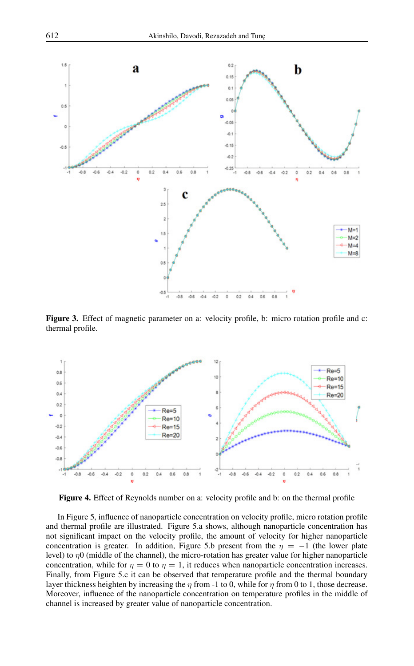

Figure 3. Effect of magnetic parameter on a: velocity profile, b: micro rotation profile and c: thermal profile.



Figure 4. Effect of Reynolds number on a: velocity profile and b: on the thermal profile

In Figure 5, influence of nanoparticle concentration on velocity profile, micro rotation profile and thermal profile are illustrated. Figure 5.a shows, although nanoparticle concentration has not significant impact on the velocity profile, the amount of velocity for higher nanoparticle concentration is greater. In addition, Figure 5.b present from the  $\eta = -1$  (the lower plate level) to  $\eta$ 0 (middle of the channel), the micro-rotation has greater value for higher nanoparticle concentration, while for  $\eta = 0$  to  $\eta = 1$ , it reduces when nanoparticle concentration increases. Finally, from Figure 5.c it can be observed that temperature profile and the thermal boundary layer thickness heighten by increasing the  $\eta$  from -1 to 0, while for  $\eta$  from 0 to 1, those decrease. Moreover, influence of the nanoparticle concentration on temperature profiles in the middle of channel is increased by greater value of nanoparticle concentration.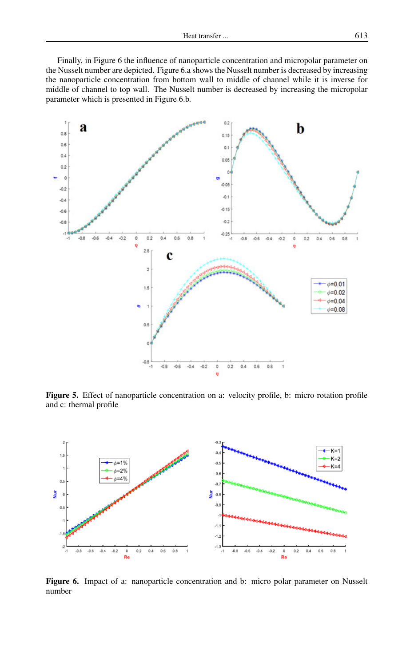Finally, in Figure 6 the influence of nanoparticle concentration and micropolar parameter on the Nusselt number are depicted. Figure 6.a shows the Nusselt number is decreased by increasing the nanoparticle concentration from bottom wall to middle of channel while it is inverse for middle of channel to top wall. The Nusselt number is decreased by increasing the micropolar parameter which is presented in Figure 6.b.



Figure 5. Effect of nanoparticle concentration on a: velocity profile, b: micro rotation profile and c: thermal profile



Figure 6. Impact of a: nanoparticle concentration and b: micro polar parameter on Nusselt number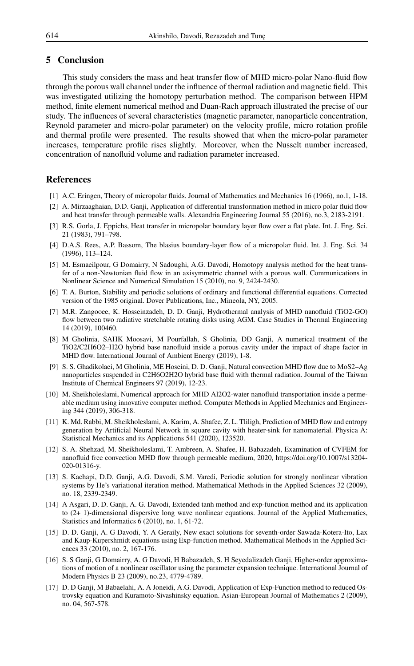## 5 Conclusion

This study considers the mass and heat transfer flow of MHD micro-polar Nano-fluid flow through the porous wall channel under the influence of thermal radiation and magnetic field. This was investigated utilizing the homotopy perturbation method. The comparison between HPM method, finite element numerical method and Duan-Rach approach illustrated the precise of our study. The influences of several characteristics (magnetic parameter, nanoparticle concentration, Reynold parameter and micro-polar parameter) on the velocity profile, micro rotation profile and thermal profile were presented. The results showed that when the micro-polar parameter increases, temperature profile rises slightly. Moreover, when the Nusselt number increased, concentration of nanofluid volume and radiation parameter increased.

## <span id="page-10-0"></span>References

- [1] A.C. Eringen, Theory of micropolar fluids. Journal of Mathematics and Mechanics 16 (1966), no.1, 1-18.
- [2] A. Mirzaaghaian, D.D. Ganji, Application of differential transformation method in micro polar fluid flow and heat transfer through permeable walls. Alexandria Engineering Journal 55 (2016), no.3, 2183-2191.
- [3] R.S. Gorla, J. Eppichs, Heat transfer in micropolar boundary layer flow over a flat plate. Int. J. Eng. Sci. 21 (1983), 791–798.
- [4] D.A.S. Rees, A.P. Bassom, The blasius boundary-layer flow of a micropolar fluid. Int. J. Eng. Sci. 34 (1996), 113–124.
- [5] M. Esmaeilpour, G Domairry, N Sadoughi, A.G. Davodi, Homotopy analysis method for the heat transfer of a non-Newtonian fluid flow in an axisymmetric channel with a porous wall. Communications in Nonlinear Science and Numerical Simulation 15 (2010), no. 9, 2424-2430.
- [6] T. A. Burton, Stability and periodic solutions of ordinary and functional differential equations. Corrected version of the 1985 original. Dover Publications, Inc., Mineola, NY, 2005.
- [7] M.R. Zangooee, K. Hosseinzadeh, D. D. Ganji, Hydrothermal analysis of MHD nanofluid (TiO2-GO) flow between two radiative stretchable rotating disks using AGM. Case Studies in Thermal Engineering 14 (2019), 100460.
- [8] M Gholinia, SAHK Moosavi, M Pourfallah, S Gholinia, DD Ganji, A numerical treatment of the TiO2/C2H6O2–H2O hybrid base nanofluid inside a porous cavity under the impact of shape factor in MHD flow. International Journal of Ambient Energy (2019), 1-8.
- [9] S. S. Ghadikolaei, M Gholinia, ME Hoseini, D. D. Ganji, Natural convection MHD flow due to MoS2–Ag nanoparticles suspended in C2H6O2H2O hybrid base fluid with thermal radiation. Journal of the Taiwan Institute of Chemical Engineers 97 (2019), 12-23.
- [10] M. Sheikholeslami, Numerical approach for MHD Al2O2-water nanofluid transportation inside a permeable medium using innovative computer method. Computer Methods in Applied Mechanics and Engineering 344 (2019), 306-318.
- [11] K. Md. Rabbi, M. Sheikholeslami, A. Karim, A. Shafee, Z. L. Tliligh, Prediction of MHD flow and entropy generation by Artificial Neural Network in square cavity with heater-sink for nanomaterial. Physica A: Statistical Mechanics and its Applications 541 (2020), 123520.
- [12] S. A. Shehzad, M. Sheikholeslami, T. Ambreen, A. Shafee, H. Babazadeh, Examination of CVFEM for nanofluid free convection MHD flow through permeable medium, 2020, https://doi.org/10.1007/s13204- 020-01316-y.
- [13] S. Kachapi, D.D. Ganji, A.G. Davodi, S.M. Varedi, Periodic solution for strongly nonlinear vibration systems by He's variational iteration method. Mathematical Methods in the Applied Sciences 32 (2009), no. 18, 2339-2349.
- [14] A Asgari, D. D. Ganji, A. G. Davodi, Extended tanh method and exp-function method and its application to (2+ 1)-dimensional dispersive long wave nonlinear equations. Journal of the Applied Mathematics, Statistics and Informatics 6 (2010), no. 1, 61-72.
- [15] D. D. Ganji, A. G Davodi, Y. A Geraily, New exact solutions for seventh-order Sawada-Kotera-Ito, Lax and Kaup-Kupershmidt equations using Exp-function method. Mathematical Methods in the Applied Sciences 33 (2010), no. 2, 167-176.
- [16] S. S Ganji, G Domairry, A. G Davodi, H Babazadeh, S. H Seyedalizadeh Ganji, Higher-order approximations of motion of a nonlinear oscillator using the parameter expansion technique. International Journal of Modern Physics B 23 (2009), no.23, 4779-4789.
- [17] D. D Ganji, M Babaelahi, A. A Joneidi, A.G. Davodi, Application of Exp-Function method to reduced Ostrovsky equation and Kuramoto-Sivashinsky equation. Asian-European Journal of Mathematics 2 (2009), no. 04, 567-578.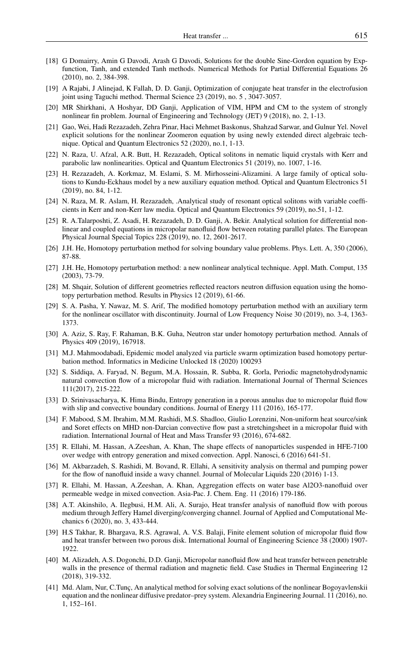- [18] G Domairry, Amin G Davodi, Arash G Davodi, Solutions for the double Sine-Gordon equation by Expfunction, Tanh, and extended Tanh methods. Numerical Methods for Partial Differential Equations 26 (2010), no. 2, 384-398.
- [19] A Rajabi, J Alinejad, K Fallah, D. D. Ganji, Optimization of conjugate heat transfer in the electrofusion joint using Taguchi method. Thermal Science 23 (2019), no. 5 , 3047-3057.
- [20] MR Shirkhani, A Hoshyar, DD Ganji, Application of VIM, HPM and CM to the system of strongly nonlinear fin problem. Journal of Engineering and Technology (JET) 9 (2018), no. 2, 1-13.
- [21] Gao, Wei, Hadi Rezazadeh, Zehra Pinar, Haci Mehmet Baskonus, Shahzad Sarwar, and Gulnur Yel. Novel explicit solutions for the nonlinear Zoomeron equation by using newly extended direct algebraic technique. Optical and Quantum Electronics 52 (2020), no.1, 1-13.
- [22] N. Raza, U. Afzal, A.R. Butt, H. Rezazadeh, Optical solitons in nematic liquid crystals with Kerr and parabolic law nonlinearities. Optical and Quantum Electronics 51 (2019), no. 1007, 1-16.
- [23] H. Rezazadeh, A. Korkmaz, M. Eslami, S. M. Mirhosseini-Alizamini. A large family of optical solutions to Kundu-Eckhaus model by a new auxiliary equation method. Optical and Quantum Electronics 51 (2019), no. 84, 1-12.
- [24] N. Raza, M. R. Aslam, H. Rezazadeh, .Analytical study of resonant optical solitons with variable coefficients in Kerr and non-Kerr law media. Optical and Quantum Electronics 59 (2019), no.51, 1-12.
- [25] R. A.Talarposhti, Z. Asadi, H. Rezazadeh, D. D. Ganji, A. Bekir. Analytical solution for differential nonlinear and coupled equations in micropolar nanofluid flow between rotating parallel plates. The European Physical Journal Special Topics 228 (2019), no. 12, 2601-2617.
- [26] J.H. He, Homotopy perturbation method for solving boundary value problems. Phys. Lett. A, 350 (2006), 87-88.
- [27] J.H. He, Homotopy perturbation method: a new nonlinear analytical technique. Appl. Math. Comput, 135 (2003), 73-79.
- [28] M. Shqair, Solution of different geometries reflected reactors neutron diffusion equation using the homotopy perturbation method. Results in Physics 12 (2019), 61-66.
- [29] S. A. Pasha, Y. Nawaz, M. S. Arif, The modified homotopy perturbation method with an auxiliary term for the nonlinear oscillator with discontinuity. Journal of Low Frequency Noise 30 (2019), no. 3-4, 1363- 1373.
- [30] A. Aziz, S. Ray, F. Rahaman, B.K. Guha, Neutron star under homotopy perturbation method. Annals of Physics 409 (2019), 167918.
- [31] M.J. Mahmoodabadi, Epidemic model analyzed via particle swarm optimization based homotopy perturbation method. Informatics in Medicine Unlocked 18 (2020) 100293
- [32] S. Siddiqa, A. Faryad, N. Begum, M.A. Hossain, R. Subba, R. Gorla, Periodic magnetohydrodynamic natural convection flow of a micropolar fluid with radiation. International Journal of Thermal Sciences 111(2017), 215-222.
- [33] D. Srinivasacharya, K. Hima Bindu, Entropy generation in a porous annulus due to micropolar fluid flow with slip and convective boundary conditions. Journal of Energy 111 (2016), 165-177.
- [34] F. Mabood, S.M. Ibrahim, M.M. Rashidi, M.S. Shadloo, Giulio Lorenzini, Non-uniform heat source/sink and Soret effects on MHD non-Darcian convective flow past a stretchingsheet in a micropolar fluid with radiation. International Journal of Heat and Mass Transfer 93 (2016), 674-682.
- [35] R. Ellahi, M. Hassan, A.Zeeshan, A. Khan, The shape effects of nanoparticles suspended in HFE-7100 over wedge with entropy generation and mixed convection. Appl. Nanosci, 6 (2016) 641-51.
- [36] M. Akbarzadeh, S. Rashidi, M. Bovand, R. Ellahi, A sensitivity analysis on thermal and pumping power for the flow of nanofluid inside a wavy channel. Journal of Molecular Liquids 220 (2016) 1-13.
- [37] R. Ellahi, M. Hassan, A.Zeeshan, A. Khan, Aggregation effects on water base Al2O3-nanofluid over permeable wedge in mixed convection. Asia-Pac. J. Chem. Eng. 11 (2016) 179-186.
- [38] A.T. Akinshilo, A. Ilegbusi, H.M. Ali, A. Surajo, Heat transfer analysis of nanofluid flow with porous medium through Jeffery Hamel diverging/converging channel. Journal of Applied and Computational Mechanics 6 (2020), no. 3, 433-444.
- [39] H.S Takhar, R. Bhargava, R.S. Agrawal, A. V.S. Balaji, Finite element solution of micropolar fluid flow and heat transfer between two porous disk. International Journal of Engineering Science 38 (2000) 1907- 1922.
- [40] M. Alizadeh, A.S. Dogonchi, D.D. Ganji, Micropolar nanofluid flow and heat transfer between penetrable walls in the presence of thermal radiation and magnetic field. Case Studies in Thermal Engineering 12 (2018), 319-332.
- [41] Md. Alam, Nur, C.Tunç, An analytical method for solving exact solutions of the nonlinear Bogoyavlenskii equation and the nonlinear diffusive predator–prey system. Alexandria Engineering Journal. 11 (2016), no. 1, 152–161.